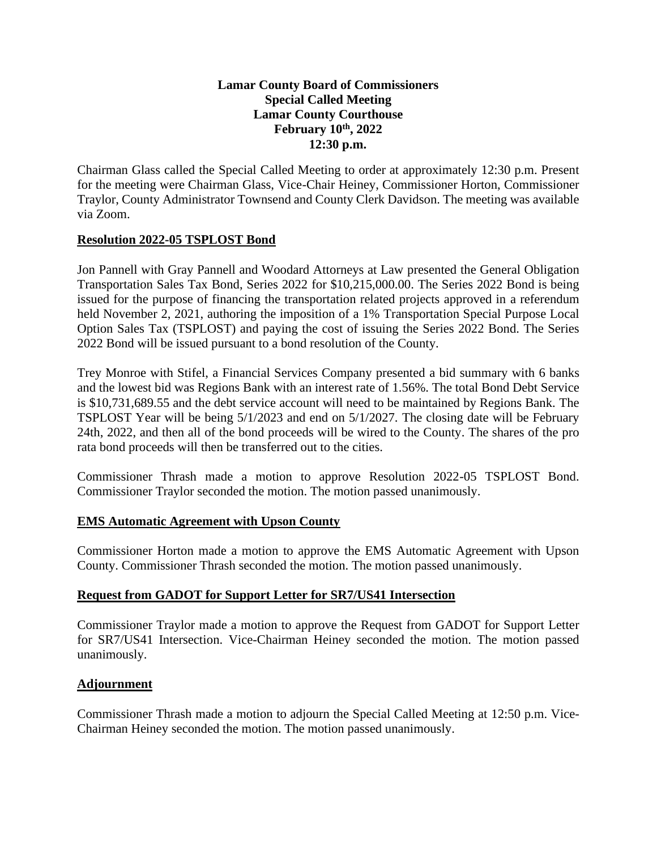## **Lamar County Board of Commissioners Special Called Meeting Lamar County Courthouse February 10th, 2022 12:30 p.m.**

Chairman Glass called the Special Called Meeting to order at approximately 12:30 p.m. Present for the meeting were Chairman Glass, Vice-Chair Heiney, Commissioner Horton, Commissioner Traylor, County Administrator Townsend and County Clerk Davidson. The meeting was available via Zoom.

### **Resolution 2022-05 TSPLOST Bond**

Jon Pannell with Gray Pannell and Woodard Attorneys at Law presented the General Obligation Transportation Sales Tax Bond, Series 2022 for \$10,215,000.00. The Series 2022 Bond is being issued for the purpose of financing the transportation related projects approved in a referendum held November 2, 2021, authoring the imposition of a 1% Transportation Special Purpose Local Option Sales Tax (TSPLOST) and paying the cost of issuing the Series 2022 Bond. The Series 2022 Bond will be issued pursuant to a bond resolution of the County.

Trey Monroe with Stifel, a Financial Services Company presented a bid summary with 6 banks and the lowest bid was Regions Bank with an interest rate of 1.56%. The total Bond Debt Service is \$10,731,689.55 and the debt service account will need to be maintained by Regions Bank. The TSPLOST Year will be being 5/1/2023 and end on 5/1/2027. The closing date will be February 24th, 2022, and then all of the bond proceeds will be wired to the County. The shares of the pro rata bond proceeds will then be transferred out to the cities.

Commissioner Thrash made a motion to approve Resolution 2022-05 TSPLOST Bond. Commissioner Traylor seconded the motion. The motion passed unanimously.

#### **EMS Automatic Agreement with Upson County**

Commissioner Horton made a motion to approve the EMS Automatic Agreement with Upson County. Commissioner Thrash seconded the motion. The motion passed unanimously.

#### **Request from GADOT for Support Letter for SR7/US41 Intersection**

Commissioner Traylor made a motion to approve the Request from GADOT for Support Letter for SR7/US41 Intersection. Vice-Chairman Heiney seconded the motion. The motion passed unanimously.

#### **Adjournment**

Commissioner Thrash made a motion to adjourn the Special Called Meeting at 12:50 p.m. Vice-Chairman Heiney seconded the motion. The motion passed unanimously.